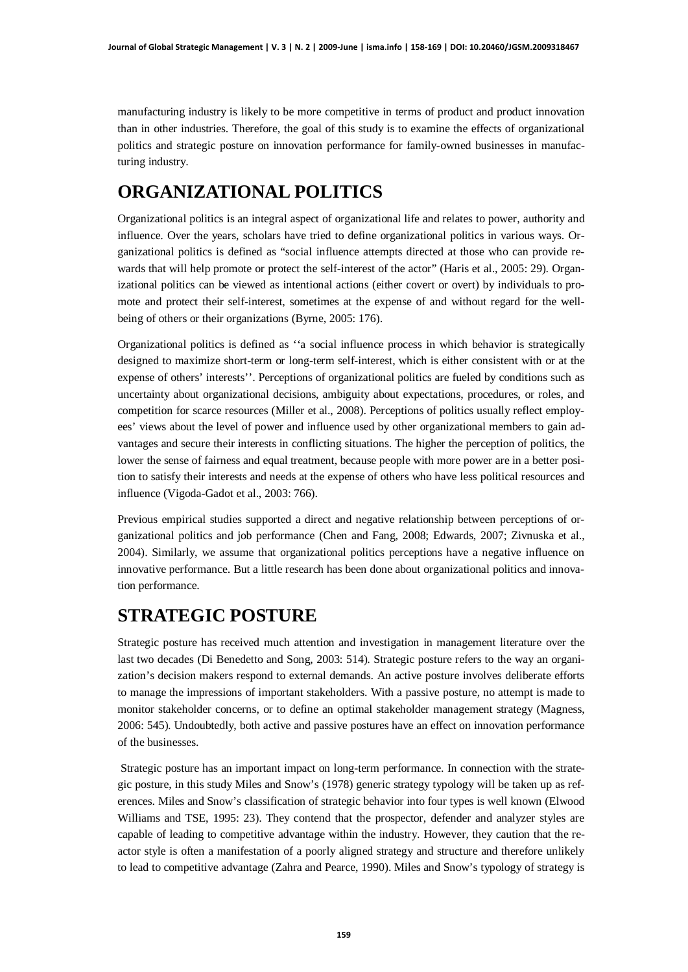manufacturing industry is likely to be more competitive in terms of product and product innovation than in other industries. Therefore, the goal of this study is to examine the effects of organizational politics and strategic posture on innovation performance for family-owned businesses in manufacturing industry.

# **ORGANIZATIONAL POLITICS**

Organizational politics is an integral aspect of organizational life and relates to power, authority and influence. Over the years, scholars have tried to define organizational politics in various ways. Organizational politics is defined as "social influence attempts directed at those who can provide rewards that will help promote or protect the self-interest of the actor" (Haris et al., 2005: 29). Organizational politics can be viewed as intentional actions (either covert or overt) by individuals to promote and protect their self-interest, sometimes at the expense of and without regard for the wellbeing of others or their organizations (Byrne, 2005: 176).

Organizational politics is defined as ''a social influence process in which behavior is strategically designed to maximize short-term or long-term self-interest, which is either consistent with or at the expense of others' interests''. Perceptions of organizational politics are fueled by conditions such as uncertainty about organizational decisions, ambiguity about expectations, procedures, or roles, and competition for scarce resources (Miller et al., 2008). Perceptions of politics usually reflect employees' views about the level of power and influence used by other organizational members to gain advantages and secure their interests in conflicting situations. The higher the perception of politics, the lower the sense of fairness and equal treatment, because people with more power are in a better position to satisfy their interests and needs at the expense of others who have less political resources and influence (Vigoda-Gadot et al., 2003: 766).

Previous empirical studies supported a direct and negative relationship between perceptions of organizational politics and job performance (Chen and Fang, 2008; Edwards, 2007; Zivnuska et al., 2004). Similarly, we assume that organizational politics perceptions have a negative influence on innovative performance. But a little research has been done about organizational politics and innovation performance.

# **STRATEGIC POSTURE**

Strategic posture has received much attention and investigation in management literature over the last two decades (Di Benedetto and Song, 2003: 514). Strategic posture refers to the way an organization's decision makers respond to external demands. An active posture involves deliberate efforts to manage the impressions of important stakeholders. With a passive posture, no attempt is made to monitor stakeholder concerns, or to define an optimal stakeholder management strategy (Magness, 2006: 545). Undoubtedly, both active and passive postures have an effect on innovation performance of the businesses.

 Strategic posture has an important impact on long-term performance. In connection with the strategic posture, in this study Miles and Snow's (1978) generic strategy typology will be taken up as references. Miles and Snow's classification of strategic behavior into four types is well known (Elwood Williams and TSE, 1995: 23). They contend that the prospector, defender and analyzer styles are capable of leading to competitive advantage within the industry. However, they caution that the reactor style is often a manifestation of a poorly aligned strategy and structure and therefore unlikely to lead to competitive advantage (Zahra and Pearce, 1990). Miles and Snow's typology of strategy is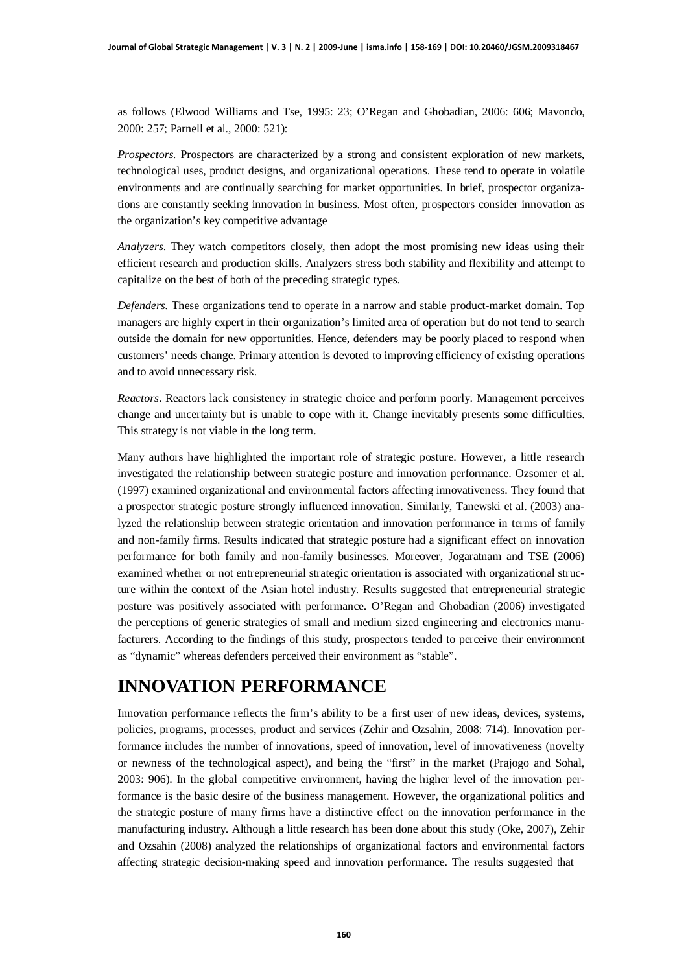as follows (Elwood Williams and Tse, 1995: 23; O'Regan and Ghobadian, 2006: 606; Mavondo, 2000: 257; Parnell et al., 2000: 521):

*Prospectors.* Prospectors are characterized by a strong and consistent exploration of new markets, technological uses, product designs, and organizational operations. These tend to operate in volatile environments and are continually searching for market opportunities. In brief, prospector organizations are constantly seeking innovation in business. Most often, prospectors consider innovation as the organization's key competitive advantage

*Analyzers*. They watch competitors closely, then adopt the most promising new ideas using their efficient research and production skills. Analyzers stress both stability and flexibility and attempt to capitalize on the best of both of the preceding strategic types.

*Defenders.* These organizations tend to operate in a narrow and stable product-market domain. Top managers are highly expert in their organization's limited area of operation but do not tend to search outside the domain for new opportunities. Hence, defenders may be poorly placed to respond when customers' needs change. Primary attention is devoted to improving efficiency of existing operations and to avoid unnecessary risk.

*Reactors*. Reactors lack consistency in strategic choice and perform poorly. Management perceives change and uncertainty but is unable to cope with it. Change inevitably presents some difficulties. This strategy is not viable in the long term.

Many authors have highlighted the important role of strategic posture. However, a little research investigated the relationship between strategic posture and innovation performance. Ozsomer et al. (1997) examined organizational and environmental factors affecting innovativeness. They found that a prospector strategic posture strongly influenced innovation. Similarly, Tanewski et al. (2003) analyzed the relationship between strategic orientation and innovation performance in terms of family and non-family firms. Results indicated that strategic posture had a significant effect on innovation performance for both family and non-family businesses. Moreover, Jogaratnam and TSE (2006) examined whether or not entrepreneurial strategic orientation is associated with organizational structure within the context of the Asian hotel industry. Results suggested that entrepreneurial strategic posture was positively associated with performance. O'Regan and Ghobadian (2006) investigated the perceptions of generic strategies of small and medium sized engineering and electronics manufacturers. According to the findings of this study, prospectors tended to perceive their environment as "dynamic" whereas defenders perceived their environment as "stable".

# **INNOVATION PERFORMANCE**

Innovation performance reflects the firm's ability to be a first user of new ideas, devices, systems, policies, programs, processes, product and services (Zehir and Ozsahin, 2008: 714). Innovation performance includes the number of innovations, speed of innovation, level of innovativeness (novelty or newness of the technological aspect), and being the "first" in the market (Prajogo and Sohal, 2003: 906). In the global competitive environment, having the higher level of the innovation performance is the basic desire of the business management. However, the organizational politics and the strategic posture of many firms have a distinctive effect on the innovation performance in the manufacturing industry. Although a little research has been done about this study (Oke, 2007), Zehir and Ozsahin (2008) analyzed the relationships of organizational factors and environmental factors affecting strategic decision-making speed and innovation performance. The results suggested that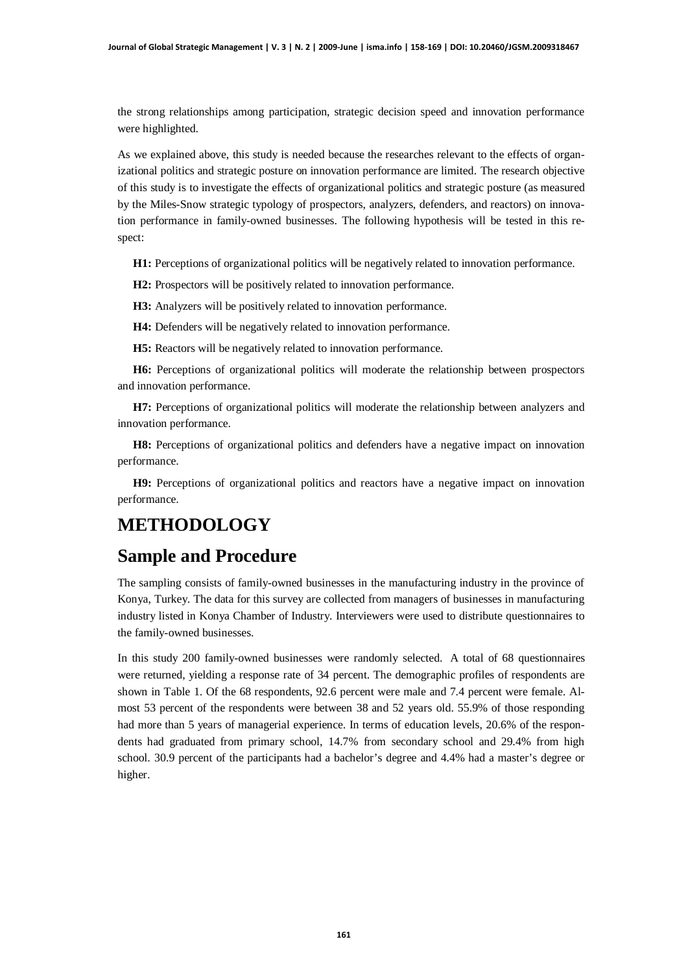the strong relationships among participation, strategic decision speed and innovation performance were highlighted.

As we explained above, this study is needed because the researches relevant to the effects of organizational politics and strategic posture on innovation performance are limited. The research objective of this study is to investigate the effects of organizational politics and strategic posture (as measured by the Miles-Snow strategic typology of prospectors, analyzers, defenders, and reactors) on innovation performance in family-owned businesses. The following hypothesis will be tested in this respect:

**H1:** Perceptions of organizational politics will be negatively related to innovation performance.

**H2:** Prospectors will be positively related to innovation performance.

**H3:** Analyzers will be positively related to innovation performance.

**H4:** Defenders will be negatively related to innovation performance.

**H5:** Reactors will be negatively related to innovation performance.

**H6:** Perceptions of organizational politics will moderate the relationship between prospectors and innovation performance.

**H7:** Perceptions of organizational politics will moderate the relationship between analyzers and innovation performance.

**H8:** Perceptions of organizational politics and defenders have a negative impact on innovation performance.

**H9:** Perceptions of organizational politics and reactors have a negative impact on innovation performance.

### **METHODOLOGY**

#### **Sample and Procedure**

The sampling consists of family-owned businesses in the manufacturing industry in the province of Konya, Turkey. The data for this survey are collected from managers of businesses in manufacturing industry listed in Konya Chamber of Industry. Interviewers were used to distribute questionnaires to the family-owned businesses.

In this study 200 family-owned businesses were randomly selected. A total of 68 questionnaires were returned, yielding a response rate of 34 percent. The demographic profiles of respondents are shown in Table 1. Of the 68 respondents, 92.6 percent were male and 7.4 percent were female. Almost 53 percent of the respondents were between 38 and 52 years old. 55.9% of those responding had more than 5 years of managerial experience. In terms of education levels, 20.6% of the respondents had graduated from primary school, 14.7% from secondary school and 29.4% from high school. 30.9 percent of the participants had a bachelor's degree and 4.4% had a master's degree or higher.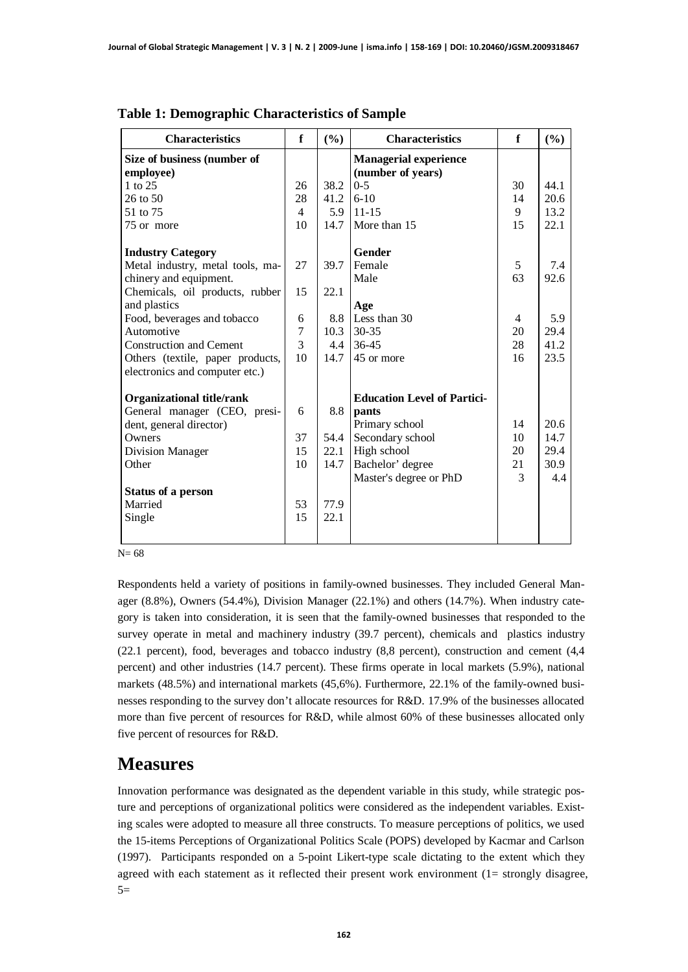| <b>Characteristics</b>           | f              | (%)  | <b>Characteristics</b>             | f  | (%)  |
|----------------------------------|----------------|------|------------------------------------|----|------|
| Size of business (number of      |                |      | <b>Managerial experience</b>       |    |      |
| employee)                        |                |      | (number of years)                  |    |      |
| 1 to 25                          | 26             | 38.2 | $0 - 5$                            | 30 | 44.1 |
| $26$ to $50$                     | 28             | 41.2 | $6 - 10$                           | 14 | 20.6 |
| 51 to 75                         | $\overline{4}$ | 5.9  | $11 - 15$                          | 9  | 13.2 |
| 75 or more                       | 10             | 14.7 | More than 15                       | 15 | 22.1 |
| <b>Industry Category</b>         |                |      | <b>Gender</b>                      |    |      |
| Metal industry, metal tools, ma- | 27             | 39.7 | Female                             | 5  | 7.4  |
| chinery and equipment.           |                |      | Male                               | 63 | 92.6 |
| Chemicals, oil products, rubber  | 15             | 22.1 |                                    |    |      |
| and plastics                     |                |      | Age                                |    |      |
| Food, beverages and tobacco      | 6              | 8.8  | Less than 30                       | 4  | 5.9  |
| Automotive                       | 7              | 10.3 | $30 - 35$                          | 20 | 29.4 |
| <b>Construction and Cement</b>   | 3              | 4.4  | 36-45                              | 28 | 41.2 |
| Others (textile, paper products, | 10             | 14.7 | 45 or more                         | 16 | 23.5 |
| electronics and computer etc.)   |                |      |                                    |    |      |
| <b>Organizational title/rank</b> |                |      | <b>Education Level of Partici-</b> |    |      |
| General manager (CEO, presi-     | 6              | 8.8  | pants                              |    |      |
| dent, general director)          |                |      | Primary school                     | 14 | 20.6 |
| Owners                           | 37             | 54.4 | Secondary school                   | 10 | 14.7 |
| Division Manager                 | 15             | 22.1 | High school                        | 20 | 29.4 |
| Other                            | 10             | 14.7 | Bachelor' degree                   | 21 | 30.9 |
|                                  |                |      | Master's degree or PhD             | 3  | 4.4  |
| <b>Status of a person</b>        |                |      |                                    |    |      |
| Married                          | 53             | 77.9 |                                    |    |      |
| Single                           | 15             | 22.1 |                                    |    |      |
|                                  |                |      |                                    |    |      |
|                                  |                |      |                                    |    |      |

**Table 1: Demographic Characteristics of Sample**

N= 68

Respondents held a variety of positions in family-owned businesses. They included General Manager (8.8%), Owners (54.4%), Division Manager (22.1%) and others (14.7%). When industry category is taken into consideration, it is seen that the family-owned businesses that responded to the survey operate in metal and machinery industry (39.7 percent), chemicals and plastics industry (22.1 percent), food, beverages and tobacco industry (8,8 percent), construction and cement (4,4 percent) and other industries (14.7 percent). These firms operate in local markets (5.9%), national markets (48.5%) and international markets (45,6%). Furthermore, 22.1% of the family-owned businesses responding to the survey don't allocate resources for R&D. 17.9% of the businesses allocated more than five percent of resources for R&D, while almost 60% of these businesses allocated only five percent of resources for R&D.

#### **Measures**

Innovation performance was designated as the dependent variable in this study, while strategic posture and perceptions of organizational politics were considered as the independent variables. Existing scales were adopted to measure all three constructs*.* To measure perceptions of politics, we used the 15-items Perceptions of Organizational Politics Scale (POPS) developed by Kacmar and Carlson (1997). Participants responded on a 5-point Likert-type scale dictating to the extent which they agreed with each statement as it reflected their present work environment (1= strongly disagree,  $5=$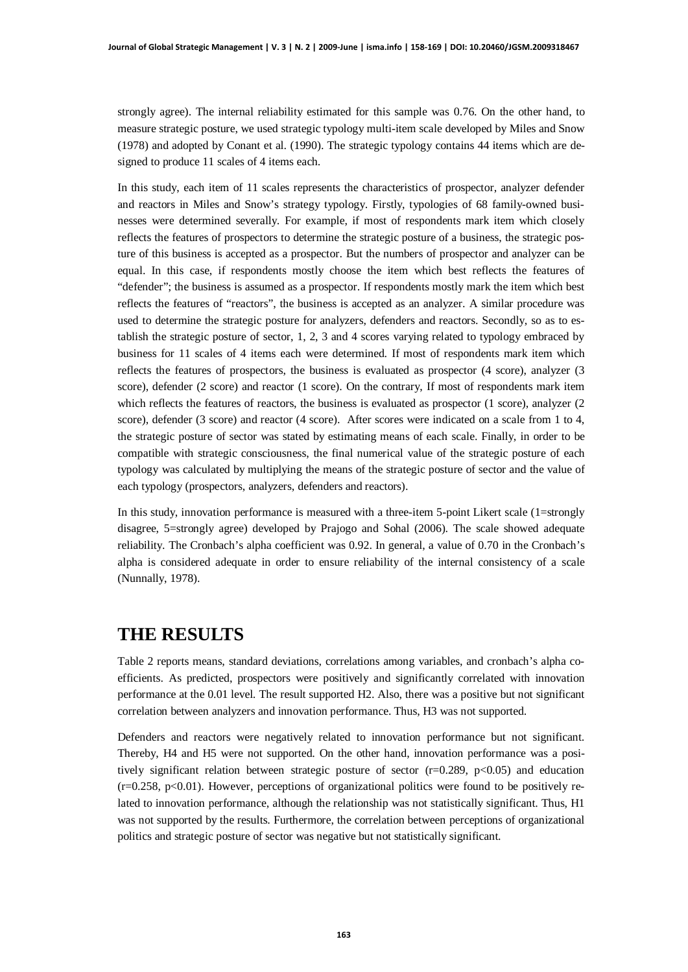strongly agree). The internal reliability estimated for this sample was 0.76. On the other hand, to measure strategic posture, we used strategic typology multi-item scale developed by Miles and Snow (1978) and adopted by Conant et al. (1990). The strategic typology contains 44 items which are designed to produce 11 scales of 4 items each.

In this study, each item of 11 scales represents the characteristics of prospector, analyzer defender and reactors in Miles and Snow's strategy typology. Firstly, typologies of 68 family-owned businesses were determined severally. For example, if most of respondents mark item which closely reflects the features of prospectors to determine the strategic posture of a business, the strategic posture of this business is accepted as a prospector. But the numbers of prospector and analyzer can be equal. In this case, if respondents mostly choose the item which best reflects the features of "defender"; the business is assumed as a prospector. If respondents mostly mark the item which best reflects the features of "reactors", the business is accepted as an analyzer. A similar procedure was used to determine the strategic posture for analyzers, defenders and reactors. Secondly, so as to establish the strategic posture of sector, 1, 2, 3 and 4 scores varying related to typology embraced by business for 11 scales of 4 items each were determined. If most of respondents mark item which reflects the features of prospectors, the business is evaluated as prospector (4 score), analyzer (3 score), defender (2 score) and reactor (1 score). On the contrary, If most of respondents mark item which reflects the features of reactors, the business is evaluated as prospector (1 score), analyzer (2 score), defender (3 score) and reactor (4 score). After scores were indicated on a scale from 1 to 4, the strategic posture of sector was stated by estimating means of each scale. Finally, in order to be compatible with strategic consciousness, the final numerical value of the strategic posture of each typology was calculated by multiplying the means of the strategic posture of sector and the value of each typology (prospectors, analyzers, defenders and reactors).

In this study, innovation performance is measured with a three-item 5-point Likert scale (1=strongly disagree, 5=strongly agree) developed by Prajogo and Sohal (2006). The scale showed adequate reliability. The Cronbach's alpha coefficient was 0.92. In general, a value of 0.70 in the Cronbach's alpha is considered adequate in order to ensure reliability of the internal consistency of a scale (Nunnally, 1978).

### **THE RESULTS**

Table 2 reports means, standard deviations, correlations among variables, and cronbach's alpha coefficients. As predicted, prospectors were positively and significantly correlated with innovation performance at the 0.01 level. The result supported H2. Also, there was a positive but not significant correlation between analyzers and innovation performance. Thus, H3 was not supported.

Defenders and reactors were negatively related to innovation performance but not significant. Thereby, H4 and H5 were not supported. On the other hand, innovation performance was a positively significant relation between strategic posture of sector  $(r=0.289, p<0.05)$  and education  $(r=0.258, p<0.01)$ . However, perceptions of organizational politics were found to be positively related to innovation performance, although the relationship was not statistically significant. Thus, H1 was not supported by the results. Furthermore, the correlation between perceptions of organizational politics and strategic posture of sector was negative but not statistically significant.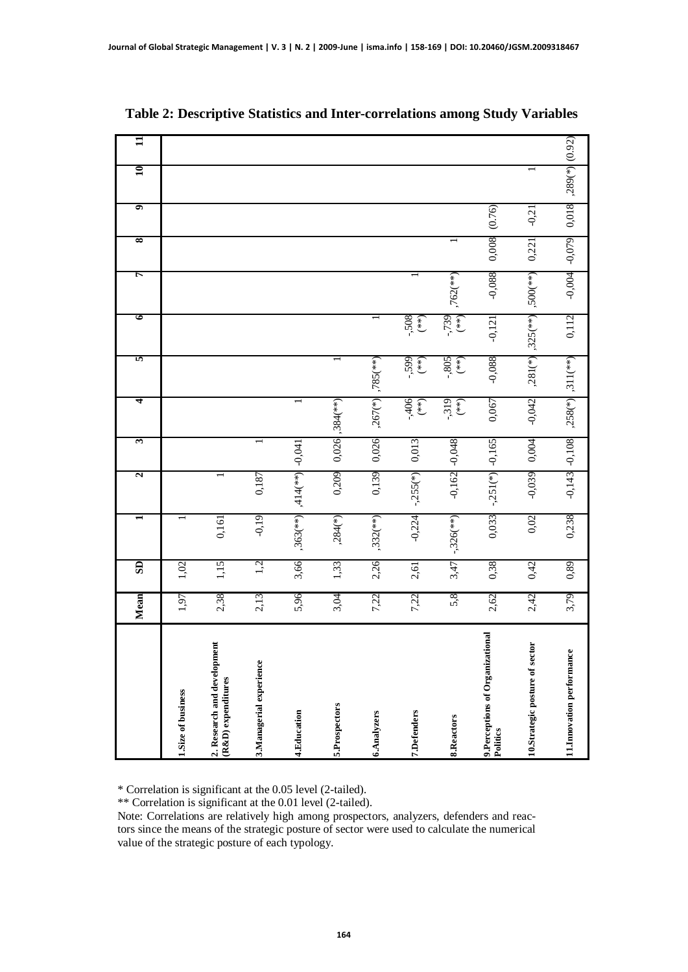| * Correlation is significant at the 0.05 level (2-tailed).<br>** Correlation is significant at the 0.01 level (2-tailed).<br>Note: Correlations are relatively high among prospectors, analyzers, defenders and reac-<br>tors since the means of the strategic posture of sector were used to calculate the numerical<br>value of the strategic posture of each typology. |                                                   | Mean | $\overline{\textbf{SD}}$ |                          | N                        | 3        | 4                     | 5                        | 6                        | r             | 8        | 9       | $\mathbf{10}$ | $\mathbf{u}$ |
|---------------------------------------------------------------------------------------------------------------------------------------------------------------------------------------------------------------------------------------------------------------------------------------------------------------------------------------------------------------------------|---------------------------------------------------|------|--------------------------|--------------------------|--------------------------|----------|-----------------------|--------------------------|--------------------------|---------------|----------|---------|---------------|--------------|
|                                                                                                                                                                                                                                                                                                                                                                           | 1.Size of business                                | 1,97 | 1,02                     |                          |                          |          |                       |                          |                          |               |          |         |               |              |
|                                                                                                                                                                                                                                                                                                                                                                           | 2. Research and development<br>(R&D) expenditures | 2,38 | 1,15                     | 0,161                    |                          |          |                       |                          |                          |               |          |         |               |              |
|                                                                                                                                                                                                                                                                                                                                                                           | 3.Managerial experience                           | 2,13 | 1,2                      | $-0.19$                  | 0,187                    |          |                       |                          |                          |               |          |         |               |              |
|                                                                                                                                                                                                                                                                                                                                                                           | 4.Education                                       | 5,96 | 3,66                     | $,363$ <sup>(**)</sup> ) | $,414$ <sup>(**)</sup> ) | $-0,041$ |                       |                          |                          |               |          |         |               |              |
|                                                                                                                                                                                                                                                                                                                                                                           | 5.Prospectors                                     | 3,04 | 1,33                     | $,284(*)$                | 0,209                    |          | $0,026$ , 384(**)     | $\overline{\phantom{0}}$ |                          |               |          |         |               |              |
|                                                                                                                                                                                                                                                                                                                                                                           | 6.Analyzers                                       | 7,22 | 2,26                     | $,332$ <sup>(**)</sup> ) | 0,139                    | 0,026    | $.267(*)$             | $,785$ <sup>(**)</sup> ) |                          |               |          |         |               |              |
|                                                                                                                                                                                                                                                                                                                                                                           | 7.Defenders                                       | 7,22 | 2,61                     | $-0,224$                 | $-.255(*)$               | 0,013    | $-406$<br>(**)        | $-599$<br>$(***)$        | $-508$                   |               |          |         |               |              |
|                                                                                                                                                                                                                                                                                                                                                                           | 8.Reactors                                        | 5,8  | 3,47                     | $-.326(**)$              | $-0,162$                 | $-0,048$ | $-319$<br>(**)        | .805<br>$(*)$            | -,739<br>(**)            | $,762$ (**)   |          |         |               |              |
|                                                                                                                                                                                                                                                                                                                                                                           | 9. Perceptions of Organizational<br>Politics      | 2,62 | 0,38                     | 0,033                    | $-.251$ (*)              | $-0,165$ | 0,067                 | $-0,088$                 | $-0,121$                 | $-0,088$      | 0,008    | (0.76)  |               |              |
|                                                                                                                                                                                                                                                                                                                                                                           | 10.Strategic posture of sector                    | 2,42 | 0,42                     | 0,02                     | $-0,039$                 | 0,004    | $-0,042$              | $,281$ (*)               | $,325$ <sup>(**)</sup> ) | $,500$ $(**)$ | 0,221    | $-0,21$ |               |              |
|                                                                                                                                                                                                                                                                                                                                                                           | 11.Innovation performance                         | 3,79 | 0,89                     | 0,238                    | $-0,143$                 | $-0,108$ | $,258$ <sup>(*)</sup> | $, 311$ $(**)$           | 0,112                    | $-0,004$      | $-0,079$ | 0,018   | $,289(*)$     | (0.92)       |

**Table 2: Descriptive Statistics and Inter-correlations among Study Variables**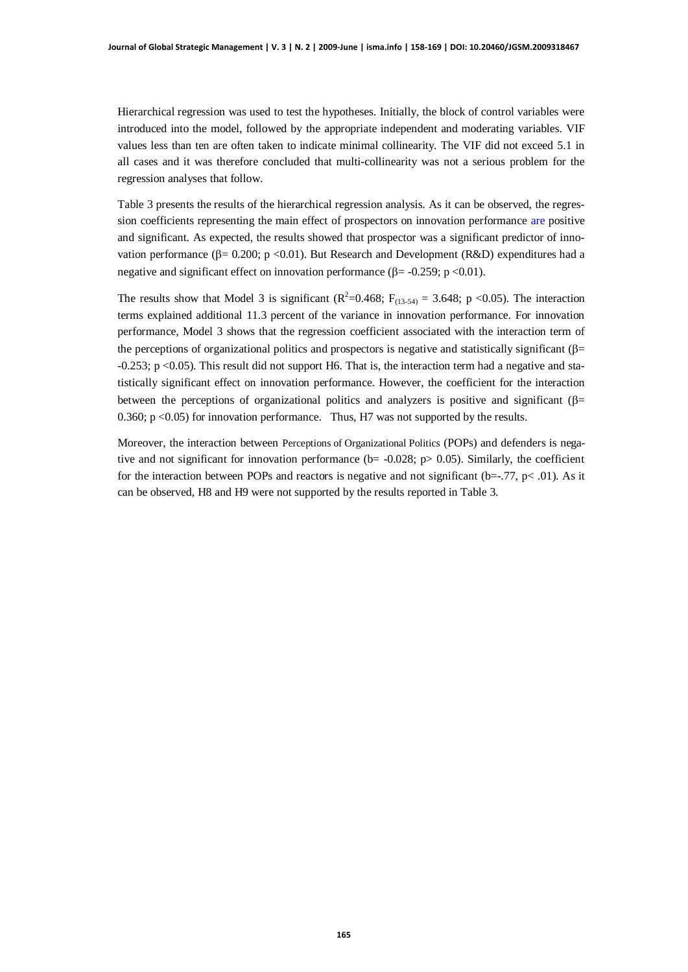Hierarchical regression was used to test the hypotheses. Initially, the block of control variables were introduced into the model, followed by the appropriate independent and moderating variables. VIF values less than ten are often taken to indicate minimal collinearity. The VIF did not exceed 5.1 in all cases and it was therefore concluded that multi-collinearity was not a serious problem for the regression analyses that follow.

Table 3 presents the results of the hierarchical regression analysis. As it can be observed, the regression coefficients representing the main effect of prospectors on innovation performance are positive and significant. As expected, the results showed that prospector was a significant predictor of innovation performance ( $\beta$ = 0.200; p <0.01). But Research and Development (R&D) expenditures had a negative and significant effect on innovation performance  $(\beta = -0.259; p < 0.01)$ .

The results show that Model 3 is significant ( $\mathbb{R}^2$ =0.468;  $F_{(13.54)} = 3.648$ ; p <0.05). The interaction terms explained additional 11.3 percent of the variance in innovation performance. For innovation performance, Model 3 shows that the regression coefficient associated with the interaction term of the perceptions of organizational politics and prospectors is negative and statistically significant ( $\beta$ = -0.253; p <0.05). This result did not support H6. That is, the interaction term had a negative and statistically significant effect on innovation performance. However, the coefficient for the interaction between the perceptions of organizational politics and analyzers is positive and significant ( $\beta$ = 0.360;  $p \le 0.05$ ) for innovation performance. Thus, H7 was not supported by the results.

Moreover, the interaction between Perceptions of Organizational Politics (POPs) and defenders is negative and not significant for innovation performance ( $b = -0.028$ ;  $p > 0.05$ ). Similarly, the coefficient for the interaction between POPs and reactors is negative and not significant ( $b=-.77$ ,  $p<-.01$ ). As it can be observed, H8 and H9 were not supported by the results reported in Table 3.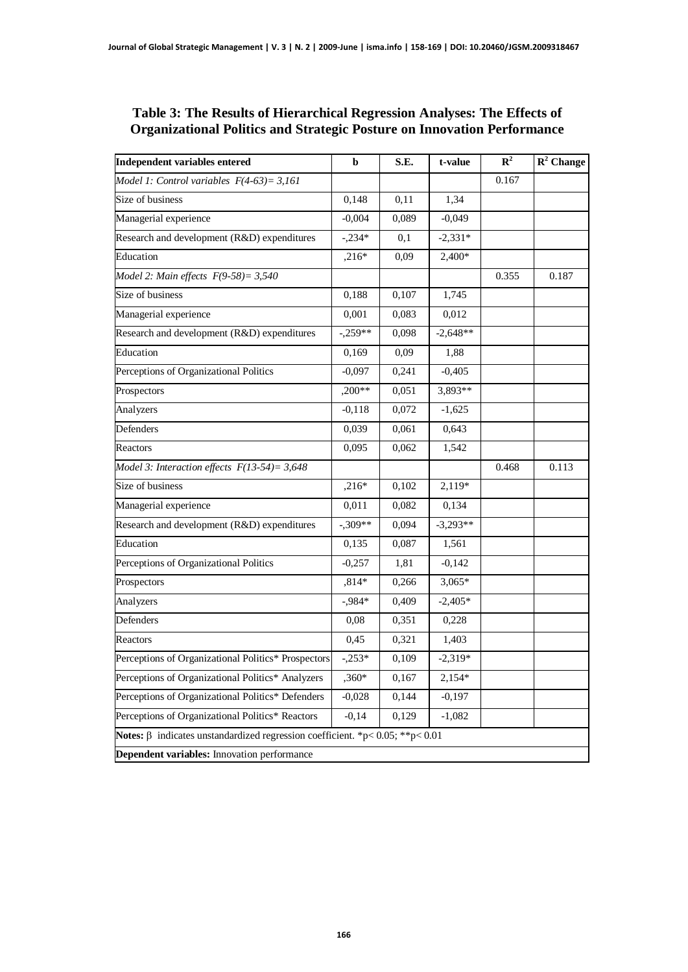#### **Table 3: The Results of Hierarchical Regression Analyses: The Effects of Organizational Politics and Strategic Posture on Innovation Performance**

| <b>Independent variables entered</b>                                                | b         | S.E.  | t-value    | $\mathbb{R}^2$ | $\mathbb{R}^2$ Change |
|-------------------------------------------------------------------------------------|-----------|-------|------------|----------------|-----------------------|
| Model 1: Control variables $F(4-63)=3,161$                                          |           |       |            | 0.167          |                       |
| Size of business                                                                    | 0,148     | 0,11  | 1,34       |                |                       |
| Managerial experience                                                               | $-0,004$  | 0,089 | $-0,049$   |                |                       |
| Research and development (R&D) expenditures                                         | $-.234*$  | 0,1   | $-2,331*$  |                |                       |
| Education                                                                           | $,216*$   | 0,09  | 2,400*     |                |                       |
| Model 2: Main effects $F(9-58) = 3,540$                                             |           |       |            | 0.355          | 0.187                 |
| Size of business                                                                    | 0,188     | 0,107 | 1,745      |                |                       |
| Managerial experience                                                               | 0,001     | 0,083 | 0,012      |                |                       |
| Research and development (R&D) expenditures                                         | $-.259**$ | 0,098 | $-2,648**$ |                |                       |
| Education                                                                           | 0,169     | 0,09  | 1,88       |                |                       |
| Perceptions of Organizational Politics                                              | $-0,097$  | 0,241 | $-0,405$   |                |                       |
| Prospectors                                                                         | $,200**$  | 0,051 | 3,893**    |                |                       |
| Analyzers                                                                           | $-0,118$  | 0,072 | $-1,625$   |                |                       |
| Defenders                                                                           | 0,039     | 0,061 | 0,643      |                |                       |
| Reactors                                                                            | 0,095     | 0,062 | 1,542      |                |                       |
| Model 3: Interaction effects $F(13-54)=3,648$                                       |           |       |            | 0.468          | 0.113                 |
| Size of business                                                                    | $,216*$   | 0,102 | 2,119*     |                |                       |
| Managerial experience                                                               | 0,011     | 0,082 | 0,134      |                |                       |
| Research and development (R&D) expenditures                                         | $-.309**$ | 0,094 | $-3,293**$ |                |                       |
| Education                                                                           | 0,135     | 0,087 | 1,561      |                |                       |
| Perceptions of Organizational Politics                                              | $-0,257$  | 1,81  | $-0,142$   |                |                       |
| Prospectors                                                                         | $,814*$   | 0,266 | $3,065*$   |                |                       |
| Analyzers                                                                           | $-0.984*$ | 0,409 | $-2,405*$  |                |                       |
| Defenders                                                                           | 0,08      | 0,351 | 0,228      |                |                       |
| Reactors                                                                            | 0,45      | 0,321 | 1,403      |                |                       |
| Perceptions of Organizational Politics* Prospectors                                 | $-.253*$  | 0,109 | $-2,319*$  |                |                       |
| Perceptions of Organizational Politics* Analyzers                                   | ,360*     | 0,167 | 2,154*     |                |                       |
| Perceptions of Organizational Politics* Defenders                                   | $-0,028$  | 0,144 | $-0,197$   |                |                       |
| Perceptions of Organizational Politics* Reactors                                    | $-0,14$   | 0,129 | $-1,082$   |                |                       |
| Notes: $\beta$ indicates unstandardized regression coefficient. *p< 0.05; **p< 0.01 |           |       |            |                |                       |
| Dependent variables: Innovation performance                                         |           |       |            |                |                       |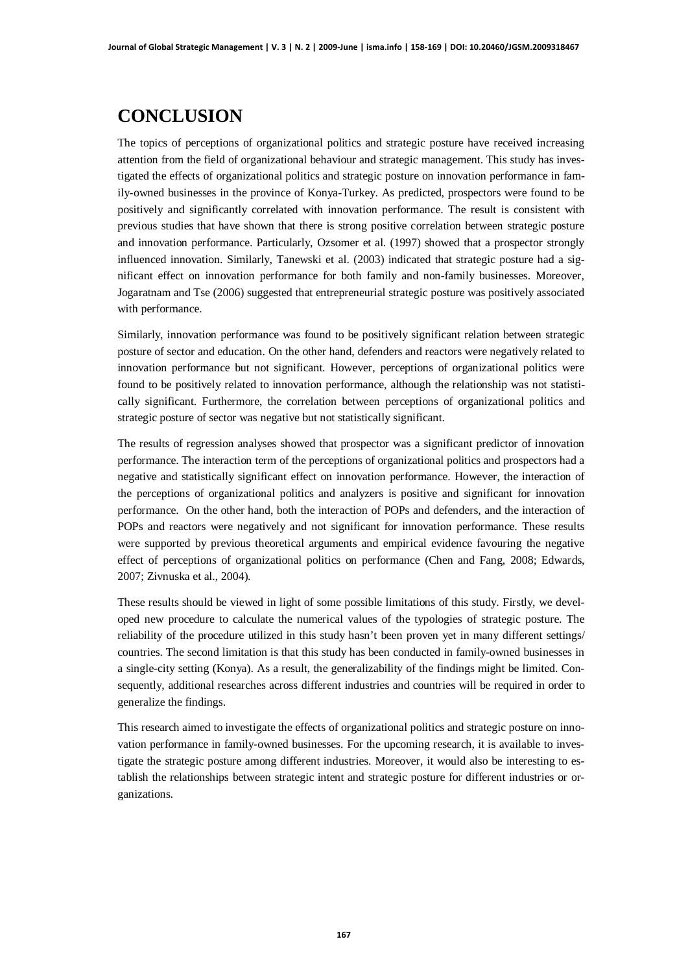# **CONCLUSION**

The topics of perceptions of organizational politics and strategic posture have received increasing attention from the field of organizational behaviour and strategic management. This study has investigated the effects of organizational politics and strategic posture on innovation performance in family-owned businesses in the province of Konya-Turkey. As predicted, prospectors were found to be positively and significantly correlated with innovation performance. The result is consistent with previous studies that have shown that there is strong positive correlation between strategic posture and innovation performance. Particularly, Ozsomer et al. (1997) showed that a prospector strongly influenced innovation. Similarly, Tanewski et al. (2003) indicated that strategic posture had a significant effect on innovation performance for both family and non-family businesses. Moreover, Jogaratnam and Tse (2006) suggested that entrepreneurial strategic posture was positively associated with performance.

Similarly, innovation performance was found to be positively significant relation between strategic posture of sector and education. On the other hand, defenders and reactors were negatively related to innovation performance but not significant. However, perceptions of organizational politics were found to be positively related to innovation performance, although the relationship was not statistically significant. Furthermore, the correlation between perceptions of organizational politics and strategic posture of sector was negative but not statistically significant.

The results of regression analyses showed that prospector was a significant predictor of innovation performance. The interaction term of the perceptions of organizational politics and prospectors had a negative and statistically significant effect on innovation performance. However, the interaction of the perceptions of organizational politics and analyzers is positive and significant for innovation performance. On the other hand, both the interaction of POPs and defenders, and the interaction of POPs and reactors were negatively and not significant for innovation performance. These results were supported by previous theoretical arguments and empirical evidence favouring the negative effect of perceptions of organizational politics on performance (Chen and Fang, 2008; Edwards, 2007; Zivnuska et al., 2004).

These results should be viewed in light of some possible limitations of this study. Firstly, we developed new procedure to calculate the numerical values of the typologies of strategic posture. The reliability of the procedure utilized in this study hasn't been proven yet in many different settings/ countries. The second limitation is that this study has been conducted in family-owned businesses in a single-city setting (Konya). As a result, the generalizability of the findings might be limited. Consequently, additional researches across different industries and countries will be required in order to generalize the findings.

This research aimed to investigate the effects of organizational politics and strategic posture on innovation performance in family-owned businesses. For the upcoming research, it is available to investigate the strategic posture among different industries. Moreover, it would also be interesting to establish the relationships between strategic intent and strategic posture for different industries or organizations.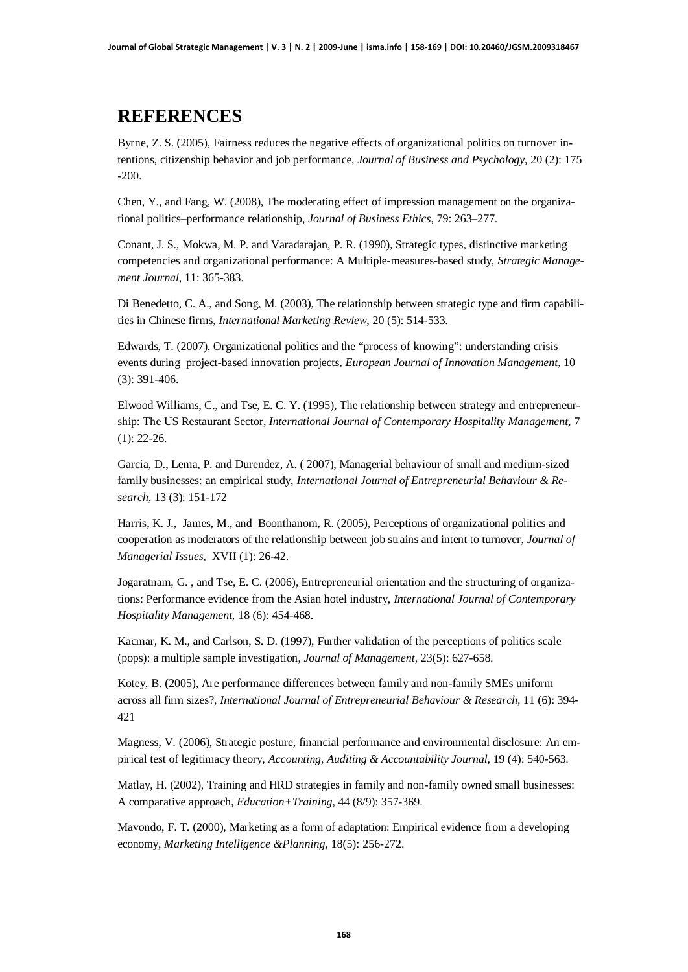## **REFERENCES**

Byrne, Z. S. (2005), Fairness reduces the negative effects of organizational politics on turnover intentions, citizenship behavior and job performance, *Journal of Business and Psychology*, 20 (2): 175 -200.

Chen, Y., and Fang, W. (2008), The moderating effect of impression management on the organizational politics–performance relationship, *Journal of Business Ethics*, 79: 263–277.

Conant, J. S., Mokwa, M. P. and Varadarajan, P. R. (1990), Strategic types, distinctive marketing competencies and organizational performance: A Multiple-measures-based study, *Strategic Management Journal*, 11: 365-383.

Di Benedetto, C. A., and Song, M. (2003), The relationship between strategic type and firm capabilities in Chinese firms, *International Marketing Review*, 20 (5): 514-533.

Edwards, T. (2007), Organizational politics and the "process of knowing": understanding crisis events during project-based innovation projects, *European Journal of Innovation Management,* 10 (3): 391-406.

Elwood Williams, C., and Tse, E. C. Y. (1995), The relationship between strategy and entrepreneurship: The US Restaurant Sector, *International Journal of Contemporary Hospitality Management*, 7 (1): 22-26.

Garcia, D., Lema, P. and Durendez, A. ( 2007), Managerial behaviour of small and medium-sized family businesses: an empirical study, *International Journal of Entrepreneurial Behaviour & Research,* 13 (3): 151-172

Harris, K. J., James, M., and Boonthanom, R. (2005), Perceptions of organizational politics and cooperation as moderators of the relationship between job strains and intent to turnover, *Journal of Managerial Issues*, XVII (1): 26-42.

Jogaratnam, G. , and Tse, E. C. (2006), Entrepreneurial orientation and the structuring of organizations: Performance evidence from the Asian hotel industry, *International Journal of Contemporary Hospitality Management*, 18 (6): 454-468.

Kacmar, K. M., and Carlson, S. D. (1997), Further validation of the perceptions of politics scale (pops): a multiple sample investigation, *Journal of Management*, 23(5): 627-658.

Kotey, B. (2005), Are performance differences between family and non-family SMEs uniform across all firm sizes?, *International Journal of Entrepreneurial Behaviour & Research,* 11 (6): 394- 421

Magness, V. (2006), Strategic posture, financial performance and environmental disclosure: An empirical test of legitimacy theory, *Accounting, Auditing & Accountability Journal,* 19 (4): 540-563.

Matlay, H. (2002), Training and HRD strategies in family and non-family owned small businesses: A comparative approach, *Education+Training,* 44 (8/9): 357-369.

Mavondo, F. T. (2000), Marketing as a form of adaptation: Empirical evidence from a developing economy, *Marketing Intelligence &Planning*, 18(5): 256-272.